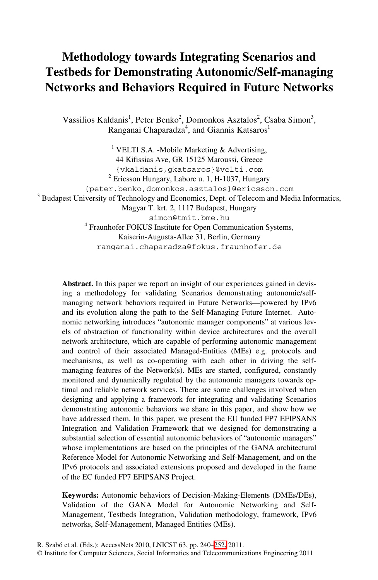# **Methodology towards Integrating Scenarios and Testbeds for Demonstrating Autonomic/Self-managing Networks and Behaviors Required in Future Networks**

Vassilios Kaldanis<sup>1</sup>, Peter Benko<sup>2</sup>, Domonkos Asztalos<sup>2</sup>, Csaba Simon<sup>3</sup>, Ranganai Chaparadza<sup>4</sup>, and Giannis Katsaros<sup>1</sup>

<sup>1</sup> VELTI S.A. -Mobile Marketing & Advertising, 44 Kifissias Ave, GR 15125 Maroussi, Greece {vkaldanis,gkatsaros}@velti.com <sup>2</sup> Ericsson Hungary, Laborc u. 1, H-1037, Hungary {peter.benko,domonkos.asztalos}@ericsson.com <sup>3</sup> Budapest University of Technology and Economics, Dept. of Telecom and Media Informatics, Magyar T. krt. 2, 1117 Budapest, Hungary simon@tmit.bme.hu 4 Fraunhofer FOKUS Institute for Open Communication Systems, Kaiserin-Augusta-Allee 31, Berlin, Germany ranganai.chaparadza@fokus.fraunhofer.de

**Abstract.** In this paper we report an insight of our experiences gained in devising a methodology for validating Scenarios demonstrating autonomic/selfmanaging network behaviors required in Future Networks—powered by IPv6 and its evolution along the path to the Self-Managing Future Internet. Autonomic networking introduces "autonomic manager components" at various levels of abstraction of functionality within device architectures and the overall network architecture, which are capable of performing autonomic management and control of their associated Managed-Entities (MEs) e.g. protocols and mechanisms, as well as co-operating with each other in driving the selfmanaging features of the Network(s). MEs are started, configured, constantly monitored and dynamically regulated by the autonomic managers towards optimal and reliable network services. There are some challenges involved when designing and applying a framework for integrating and validating Scenarios demonstrating autonomic behaviors we share in this paper, and show how we have addressed them. In this paper, we present the EU funded FP7 EFIPSANS Integration and Validation Framework that we designed for demonstrating a substantial selection of essential autonomic behaviors of "autonomic managers" whose implementations are based on the principles of the GANA architectural Reference Model for Autonomic Networking and Self-Management, and on the IPv6 protocols and asso[ciated](#page-12-0) extensions proposed and developed in the frame of the EC funded FP7 EFIPSANS Project.

**Keywords:** Autonomic behaviors of Decision-Making-Elements (DMEs/DEs), Validation of the GANA Model for Autonomic Networking and Self-Management, Testbeds Integration, Validation methodology, framework, IPv6 networks, Self-Management, Managed Entities (MEs).

R. Szabó et al. (Eds.): AccessNets 2010, LNICST 63, pp. 240–252, 2011.

© Institute for Computer Sciences, Social Informatics and Telecommunications Engineering 2011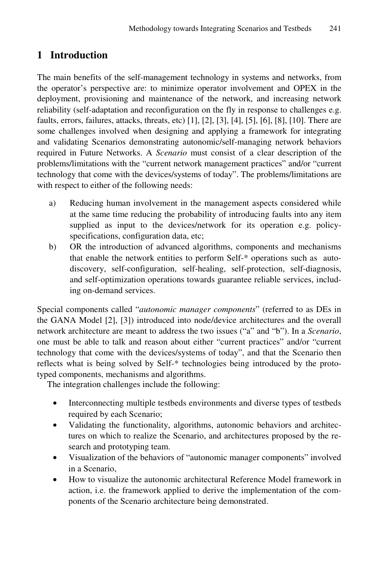# **1 Introduction**

The main benefits of the self-management technology in systems and networks, from the operator's perspective are: to minimize operator involvement and OPEX in the deployment, provisioning and maintenance of the network, and increasing network reliability (self-adaptation and reconfiguration on the fly in response to challenges e.g. faults, errors, failures, attacks, threats, etc) [1], [2], [3], [4], [5], [6], [8], [10]. There are some challenges involved when designing and applying a framework for integrating and validating Scenarios demonstrating autonomic/self-managing network behaviors required in Future Networks. A *Scenario* must consist of a clear description of the problems/limitations with the "current network management practices" and/or "current technology that come with the devices/systems of today". The problems/limitations are with respect to either of the following needs:

- a) Reducing human involvement in the management aspects considered while at the same time reducing the probability of introducing faults into any item supplied as input to the devices/network for its operation e.g. policyspecifications, configuration data, etc;
- b) OR the introduction of advanced algorithms, components and mechanisms that enable the network entities to perform Self-\* operations such as autodiscovery, self-configuration, self-healing, self-protection, self-diagnosis, and self-optimization operations towards guarantee reliable services, including on-demand services.

Special components called "*autonomic manager components*" (referred to as DEs in the GANA Model [2], [3]) introduced into node/device architectures and the overall network architecture are meant to address the two issues ("a" and "b"). In a *Scenario*, one must be able to talk and reason about either "current practices" and/or "current technology that come with the devices/systems of today", and that the Scenario then reflects what is being solved by Self-\* technologies being introduced by the prototyped components, mechanisms and algorithms.

The integration challenges include the following:

- Interconnecting multiple testbeds environments and diverse types of testbeds required by each Scenario;
- Validating the functionality, algorithms, autonomic behaviors and architectures on which to realize the Scenario, and architectures proposed by the research and prototyping team.
- Visualization of the behaviors of "autonomic manager components" involved in a Scenario,
- How to visualize the autonomic architectural Reference Model framework in action, i.e. the framework applied to derive the implementation of the components of the Scenario architecture being demonstrated.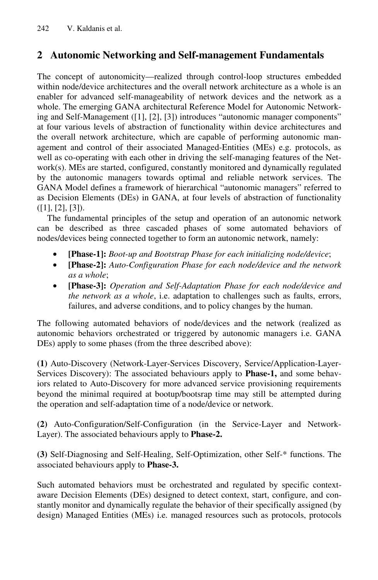# **2 Autonomic Networking and Self-management Fundamentals**

The concept of autonomicity—realized through control-loop structures embedded within node/device architectures and the overall network architecture as a whole is an enabler for advanced self-manageability of network devices and the network as a whole. The emerging GANA architectural Reference Model for Autonomic Networking and Self-Management ([1], [2], [3]) introduces "autonomic manager components" at four various levels of abstraction of functionality within device architectures and the overall network architecture, which are capable of performing autonomic management and control of their associated Managed-Entities (MEs) e.g. protocols, as well as co-operating with each other in driving the self-managing features of the Network(s). MEs are started, configured, constantly monitored and dynamically regulated by the autonomic managers towards optimal and reliable network services. The GANA Model defines a framework of hierarchical "autonomic managers" referred to as Decision Elements (DEs) in GANA, at four levels of abstraction of functionality  $([1], [2], [3]).$ 

The fundamental principles of the setup and operation of an autonomic network can be described as three cascaded phases of some automated behaviors of nodes/devices being connected together to form an autonomic network, namely:

- **[Phase-1]:** *Boot-up and Bootstrap Phase for each initializing node/device*;
- **[Phase-2]:** *Auto-Configuration Phase for each node/device and the network as a whole*;
- **[Phase-3]:** *Operation and Self-Adaptation Phase for each node/device and the network as a whole*, i.e. adaptation to challenges such as faults, errors, failures, and adverse conditions, and to policy changes by the human.

The following automated behaviors of node/devices and the network (realized as autonomic behaviors orchestrated or triggered by autonomic managers i.e. GANA DEs) apply to some phases (from the three described above):

**(1)** Auto-Discovery (Network-Layer-Services Discovery, Service/Application-Layer-Services Discovery): The associated behaviours apply to **Phase-1,** and some behaviors related to Auto-Discovery for more advanced service provisioning requirements beyond the minimal required at bootup/bootsrap time may still be attempted during the operation and self-adaptation time of a node/device or network.

**(2)** Auto-Configuration/Self-Configuration (in the Service-Layer and Network-Layer). The associated behaviours apply to **Phase-2.** 

**(3)** Self-Diagnosing and Self-Healing, Self-Optimization, other Self-\* functions. The associated behaviours apply to **Phase-3.** 

Such automated behaviors must be orchestrated and regulated by specific contextaware Decision Elements (DEs) designed to detect context, start, configure, and constantly monitor and dynamically regulate the behavior of their specifically assigned (by design) Managed Entities (MEs) i.e. managed resources such as protocols, protocols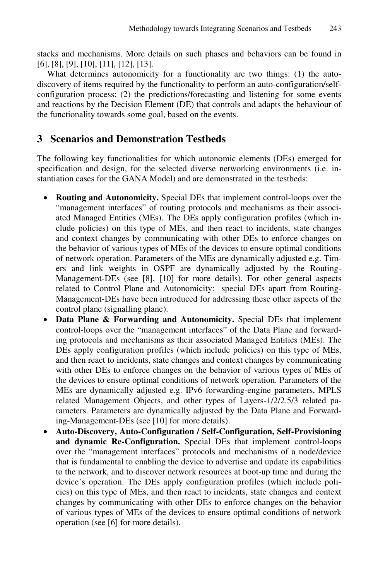stacks and mechanisms. More details on such phases and behaviors can be found in [6], [8], [9], [10], [11], [12], [13].

What determines autonomicity for a functionality are two things: (1) the autodiscovery of items required by the functionality to perform an auto-configuration/selfconfiguration process; (2) the predictions/forecasting and listening for some events and reactions by the Decision Element (DE) that controls and adapts the behaviour of the functionality towards some goal, based on the events.

# **3 Scenarios and Demonstration Testbeds**

The following key functionalities for which autonomic elements (DEs) emerged for specification and design, for the selected diverse networking environments (i.e. instantiation cases for the GANA Model) and are demonstrated in the testbeds:

- **Routing and Autonomicity.** Special DEs that implement control-loops over the "management interfaces" of routing protocols and mechanisms as their associated Managed Entities (MEs). The DEs apply configuration profiles (which include policies) on this type of MEs, and then react to incidents, state changes and context changes by communicating with other DEs to enforce changes on the behavior of various types of MEs of the devices to ensure optimal conditions of network operation. Parameters of the MEs are dynamically adjusted e.g. Timers and link weights in OSPF are dynamically adjusted by the Routing-Management-DEs (see [8], [10] for more details). For other general aspects related to Control Plane and Autonomicity: special DEs apart from Routing-Management-DEs have been introduced for addressing these other aspects of the control plane (signalling plane).
- **Data Plane & Forwarding and Autonomicity.** Special DEs that implement control-loops over the "management interfaces" of the Data Plane and forwarding protocols and mechanisms as their associated Managed Entities (MEs). The DEs apply configuration profiles (which include policies) on this type of MEs, and then react to incidents, state changes and context changes by communicating with other DEs to enforce changes on the behavior of various types of MEs of the devices to ensure optimal conditions of network operation. Parameters of the MEs are dynamically adjusted e.g. IPv6 forwarding-engine parameters, MPLS related Management Objects, and other types of Layers-1/2/2.5/3 related parameters. Parameters are dynamically adjusted by the Data Plane and Forwarding-Management-DEs (see [10] for more details).
- **Auto-Discovery, Auto-Configuration / Self-Configuration, Self-Provisioning and dynamic Re-Configuration.** Special DEs that implement control-loops over the "management interfaces" protocols and mechanisms of a node/device that is fundamental to enabling the device to advertise and update its capabilities to the network, and to discover network resources at boot-up time and during the device's operation. The DEs apply configuration profiles (which include policies) on this type of MEs, and then react to incidents, state changes and context changes by communicating with other DEs to enforce changes on the behavior of various types of MEs of the devices to ensure optimal conditions of network operation (see [6] for more details).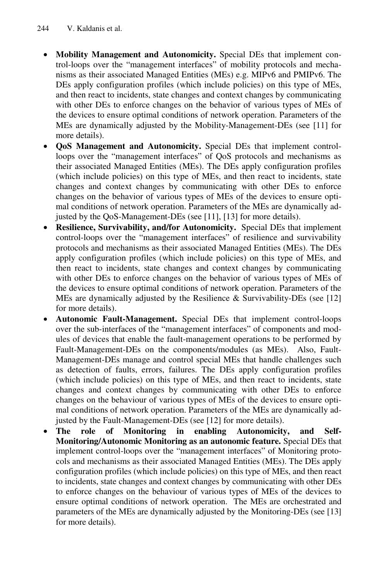- **Mobility Management and Autonomicity.** Special DEs that implement control-loops over the "management interfaces" of mobility protocols and mechanisms as their associated Managed Entities (MEs) e.g. MIPv6 and PMIPv6. The DEs apply configuration profiles (which include policies) on this type of MEs, and then react to incidents, state changes and context changes by communicating with other DEs to enforce changes on the behavior of various types of MEs of the devices to ensure optimal conditions of network operation. Parameters of the MEs are dynamically adjusted by the Mobility-Management-DEs (see [11] for more details).
- **QoS Management and Autonomicity.** Special DEs that implement controlloops over the "management interfaces" of QoS protocols and mechanisms as their associated Managed Entities (MEs). The DEs apply configuration profiles (which include policies) on this type of MEs, and then react to incidents, state changes and context changes by communicating with other DEs to enforce changes on the behavior of various types of MEs of the devices to ensure optimal conditions of network operation. Parameters of the MEs are dynamically adjusted by the QoS-Management-DEs (see [11], [13] for more details).
- **Resilience, Survivability, and/for Autonomicity.** Special DEs that implement control-loops over the "management interfaces" of resilience and survivability protocols and mechanisms as their associated Managed Entities (MEs). The DEs apply configuration profiles (which include policies) on this type of MEs, and then react to incidents, state changes and context changes by communicating with other DEs to enforce changes on the behavior of various types of MEs of the devices to ensure optimal conditions of network operation. Parameters of the MEs are dynamically adjusted by the Resilience & Survivability-DEs (see [12] for more details).
- **Autonomic Fault-Management.** Special DEs that implement control-loops over the sub-interfaces of the "management interfaces" of components and modules of devices that enable the fault-management operations to be performed by Fault-Management-DEs on the components/modules (as MEs). Also, Fault-Management-DEs manage and control special MEs that handle challenges such as detection of faults, errors, failures. The DEs apply configuration profiles (which include policies) on this type of MEs, and then react to incidents, state changes and context changes by communicating with other DEs to enforce changes on the behaviour of various types of MEs of the devices to ensure optimal conditions of network operation. Parameters of the MEs are dynamically adjusted by the Fault-Management-DEs (see [12] for more details).
- The role of Monitoring in enabling Autonomicity, and Self-**Monitoring/Autonomic Monitoring as an autonomic feature.** Special DEs that implement control-loops over the "management interfaces" of Monitoring protocols and mechanisms as their associated Managed Entities (MEs). The DEs apply configuration profiles (which include policies) on this type of MEs, and then react to incidents, state changes and context changes by communicating with other DEs to enforce changes on the behaviour of various types of MEs of the devices to ensure optimal conditions of network operation. The MEs are orchestrated and parameters of the MEs are dynamically adjusted by the Monitoring-DEs (see [13] for more details).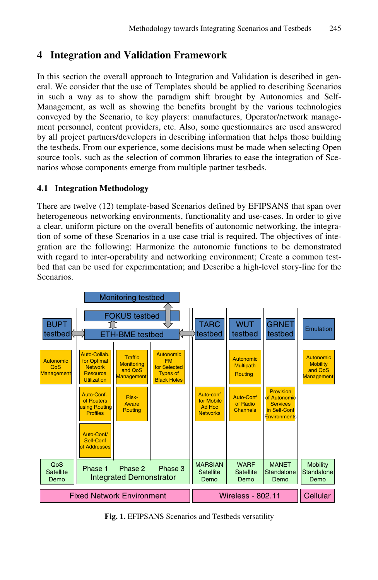# **4 Integration and Validation Framework**

In this section the overall approach to Integration and Validation is described in general. We consider that the use of Templates should be applied to describing Scenarios in such a way as to show the paradigm shift brought by Autonomics and Self-Management, as well as showing the benefits brought by the various technologies conveyed by the Scenario, to key players: manufactures, Operator/network management personnel, content providers, etc. Also, some questionnaires are used answered by all project partners/developers in describing information that helps those building the testbeds. From our experience, some decisions must be made when selecting Open source tools, such as the selection of common libraries to ease the integration of Scenarios whose components emerge from multiple partner testbeds.

### **4.1 Integration Methodology**

There are twelve (12) template-based Scenarios defined by EFIPSANS that span over heterogeneous networking environments, functionality and use-cases. In order to give a clear, uniform picture on the overall benefits of autonomic networking, the integration of some of these Scenarios in a use case trial is required. The objectives of integration are the following: Harmonize the autonomic functions to be demonstrated with regard to inter-operability and networking environment; Create a common testbed that can be used for experimentation; and Describe a high-level story-line for the Scenarios.



**Fig. 1.** EFIPSANS Scenarios and Testbeds versatility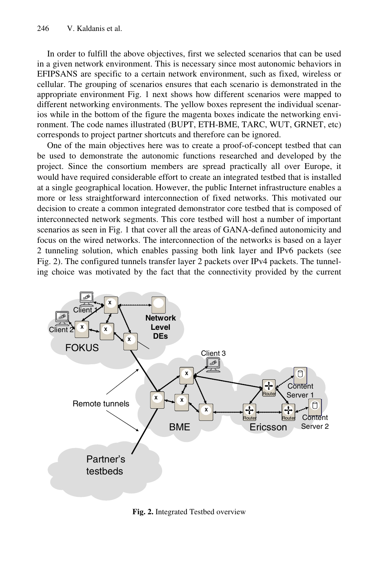In order to fulfill the above objectives, first we selected scenarios that can be used in a given network environment. This is necessary since most autonomic behaviors in EFIPSANS are specific to a certain network environment, such as fixed, wireless or cellular. The grouping of scenarios ensures that each scenario is demonstrated in the appropriate environment Fig. 1 next shows how different scenarios were mapped to different networking environments. The yellow boxes represent the individual scenarios while in the bottom of the figure the magenta boxes indicate the networking environment. The code names illustrated (BUPT, ETH-BME, TARC, WUT, GRNET, etc) corresponds to project partner shortcuts and therefore can be ignored.

One of the main objectives here was to create a proof-of-concept testbed that can be used to demonstrate the autonomic functions researched and developed by the project. Since the consortium members are spread practically all over Europe, it would have required considerable effort to create an integrated testbed that is installed at a single geographical location. However, the public Internet infrastructure enables a more or less straightforward interconnection of fixed networks. This motivated our decision to create a common integrated demonstrator core testbed that is composed of interconnected network segments. This core testbed will host a number of important scenarios as seen in Fig. 1 that cover all the areas of GANA-defined autonomicity and focus on the wired networks. The interconnection of the networks is based on a layer 2 tunneling solution, which enables passing both link layer and IPv6 packets (see Fig. 2). The configured tunnels transfer layer 2 packets over IPv4 packets. The tunneling choice was motivated by the fact that the connectivity provided by the current



**Fig. 2.** Integrated Testbed overview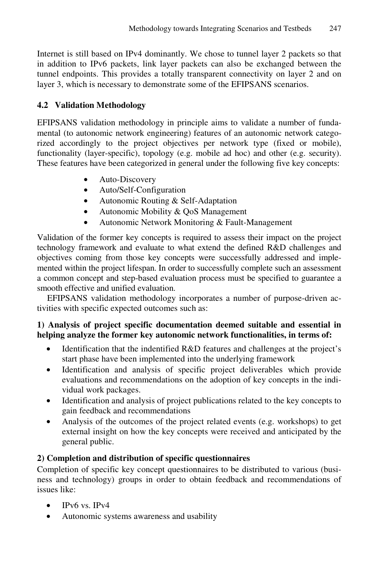Internet is still based on IPv4 dominantly. We chose to tunnel layer 2 packets so that in addition to IPv6 packets, link layer packets can also be exchanged between the tunnel endpoints. This provides a totally transparent connectivity on layer 2 and on layer 3, which is necessary to demonstrate some of the EFIPSANS scenarios.

# **4.2 Validation Methodology**

EFIPSANS validation methodology in principle aims to validate a number of fundamental (to autonomic network engineering) features of an autonomic network categorized accordingly to the project objectives per network type (fixed or mobile), functionality (layer-specific), topology (e.g. mobile ad hoc) and other (e.g. security). These features have been categorized in general under the following five key concepts:

- Auto-Discovery
- Auto/Self-Configuration
- Autonomic Routing & Self-Adaptation
- Autonomic Mobility & QoS Management
- Autonomic Network Monitoring & Fault-Management

Validation of the former key concepts is required to assess their impact on the project technology framework and evaluate to what extend the defined R&D challenges and objectives coming from those key concepts were successfully addressed and implemented within the project lifespan. In order to successfully complete such an assessment a common concept and step-based evaluation process must be specified to guarantee a smooth effective and unified evaluation.

EFIPSANS validation methodology incorporates a number of purpose-driven activities with specific expected outcomes such as:

### **1) Analysis of project specific documentation deemed suitable and essential in helping analyze the former key autonomic network functionalities, in terms of:**

- Identification that the indentified R&D features and challenges at the project's start phase have been implemented into the underlying framework
- Identification and analysis of specific project deliverables which provide evaluations and recommendations on the adoption of key concepts in the individual work packages.
- Identification and analysis of project publications related to the key concepts to gain feedback and recommendations
- Analysis of the outcomes of the project related events (e.g. workshops) to get external insight on how the key concepts were received and anticipated by the general public.

### **2) Completion and distribution of specific questionnaires**

Completion of specific key concept questionnaires to be distributed to various (business and technology) groups in order to obtain feedback and recommendations of issues like:

- IPv6 vs. IPv4
- Autonomic systems awareness and usability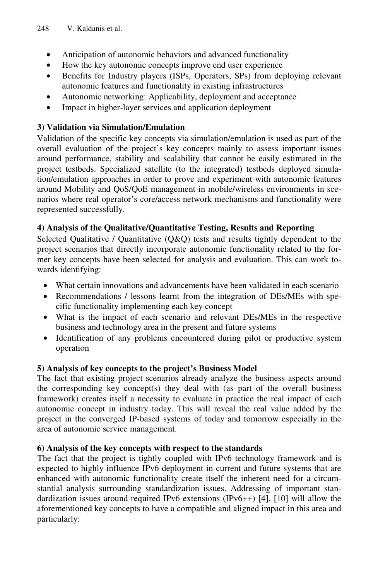- Anticipation of autonomic behaviors and advanced functionality
- How the key autonomic concepts improve end user experience
- Benefits for Industry players (ISPs, Operators, SPs) from deploying relevant autonomic features and functionality in existing infrastructures
- Autonomic networking: Applicability, deployment and acceptance
- Impact in higher-layer services and application deployment

# **3) Validation via Simulation/Emulation**

Validation of the specific key concepts via simulation/emulation is used as part of the overall evaluation of the project's key concepts mainly to assess important issues around performance, stability and scalability that cannot be easily estimated in the project testbeds. Specialized satellite (to the integrated) testbeds deployed simulation/emulation approaches in order to prove and experiment with autonomic features around Mobility and QoS/QoE management in mobile/wireless environments in scenarios where real operator's core/access network mechanisms and functionality were represented successfully.

## **4) Analysis of the Qualitative/Quantitative Testing, Results and Reporting**

Selected Qualitative / Quantitative (Q&Q) tests and results tightly dependent to the project scenarios that directly incorporate autonomic functionality related to the former key concepts have been selected for analysis and evaluation. This can work towards identifying:

- What certain innovations and advancements have been validated in each scenario
- Recommendations / lessons learnt from the integration of DEs/MEs with specific functionality implementing each key concept
- What is the impact of each scenario and relevant DEs/MEs in the respective business and technology area in the present and future systems
- Identification of any problems encountered during pilot or productive system operation

### **5) Analysis of key concepts to the project's Business Model**

The fact that existing project scenarios already analyze the business aspects around the corresponding key concept(s) they deal with (as part of the overall business framework) creates itself a necessity to evaluate in practice the real impact of each autonomic concept in industry today. This will reveal the real value added by the project in the converged IP-based systems of today and tomorrow especially in the area of autonomic service management.

### **6) Analysis of the key concepts with respect to the standards**

The fact that the project is tightly coupled with IPv6 technology framework and is expected to highly influence IPv6 deployment in current and future systems that are enhanced with autonomic functionality create itself the inherent need for a circumstantial analysis surrounding standardization issues. Addressing of important standardization issues around required IPv6 extensions (IPv6++) [4], [10] will allow the aforementioned key concepts to have a compatible and aligned impact in this area and particularly: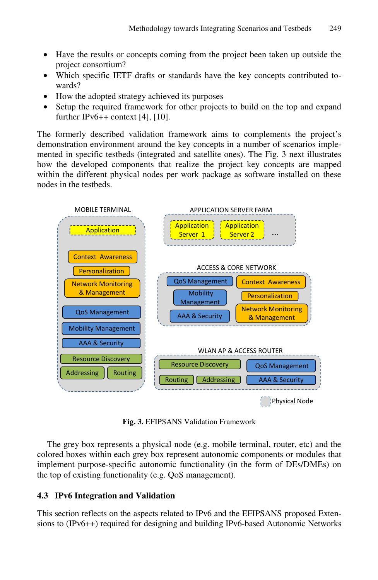- Have the results or concepts coming from the project been taken up outside the project consortium?
- Which specific IETF drafts or standards have the key concepts contributed towards?
- How the adopted strategy achieved its purposes
- Setup the required framework for other projects to build on the top and expand further IPv6++ context [4], [10].

The formerly described validation framework aims to complements the project's demonstration environment around the key concepts in a number of scenarios implemented in specific testbeds (integrated and satellite ones). The Fig. 3 next illustrates how the developed components that realize the project key concepts are mapped within the different physical nodes per work package as software installed on these nodes in the testbeds.



**Fig. 3.** EFIPSANS Validation Framework

The grey box represents a physical node (e.g. mobile terminal, router, etc) and the colored boxes within each grey box represent autonomic components or modules that implement purpose-specific autonomic functionality (in the form of DEs/DMEs) on the top of existing functionality (e.g. QoS management).

### **4.3 IPv6 Integration and Validation**

This section reflects on the aspects related to IPv6 and the EFIPSANS proposed Extensions to (IPv6++) required for designing and building IPv6-based Autonomic Networks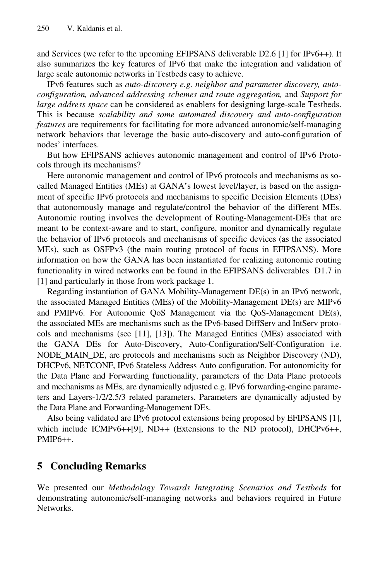and Services (we refer to the upcoming EFIPSANS deliverable D2.6 [1] for IPv6++). It also summarizes the key features of IPv6 that make the integration and validation of large scale autonomic networks in Testbeds easy to achieve.

IPv6 features such as *auto-discovery e.g. neighbor and parameter discovery, autoconfiguration, advanced addressing schemes and route aggregation,* and *Support for large address space* can be considered as enablers for designing large-scale Testbeds. This is because *scalability and some automated discovery and auto-configuration features* are requirements for facilitating for more advanced autonomic/self-managing network behaviors that leverage the basic auto-discovery and auto-configuration of nodes' interfaces.

But how EFIPSANS achieves autonomic management and control of IPv6 Protocols through its mechanisms?

Here autonomic management and control of IPv6 protocols and mechanisms as socalled Managed Entities (MEs) at GANA's lowest level/layer, is based on the assignment of specific IPv6 protocols and mechanisms to specific Decision Elements (DEs) that autonomously manage and regulate/control the behavior of the different MEs. Autonomic routing involves the development of Routing-Management-DEs that are meant to be context-aware and to start, configure, monitor and dynamically regulate the behavior of IPv6 protocols and mechanisms of specific devices (as the associated MEs), such as OSFPv3 (the main routing protocol of focus in EFIPSANS). More information on how the GANA has been instantiated for realizing autonomic routing functionality in wired networks can be found in the EFIPSANS deliverables D1.7 in [1] and particularly in those from work package 1.

Regarding instantiation of GANA Mobility-Management DE(s) in an IPv6 network, the associated Managed Entities (MEs) of the Mobility-Management DE(s) are MIPv6 and PMIPv6. For Autonomic QoS Management via the QoS-Management DE(s), the associated MEs are mechanisms such as the IPv6-based DiffServ and IntServ protocols and mechanisms (see [11], [13]). The Managed Entities (MEs) associated with the GANA DEs for Auto-Discovery, Auto-Configuration/Self-Configuration i.e. NODE\_MAIN\_DE, are protocols and mechanisms such as Neighbor Discovery (ND), DHCPv6, NETCONF, IPv6 Stateless Address Auto configuration. For autonomicity for the Data Plane and Forwarding functionality, parameters of the Data Plane protocols and mechanisms as MEs, are dynamically adjusted e.g. IPv6 forwarding-engine parameters and Layers-1/2/2.5/3 related parameters. Parameters are dynamically adjusted by the Data Plane and Forwarding-Management DEs.

Also being validated are IPv6 protocol extensions being proposed by EFIPSANS [1], which include ICMPv6++[9], ND++ (Extensions to the ND protocol), DHCPv6++, PMIP6++.

# **5 Concluding Remarks**

We presented our *Methodology Towards Integrating Scenarios and Testbeds* for demonstrating autonomic/self-managing networks and behaviors required in Future Networks.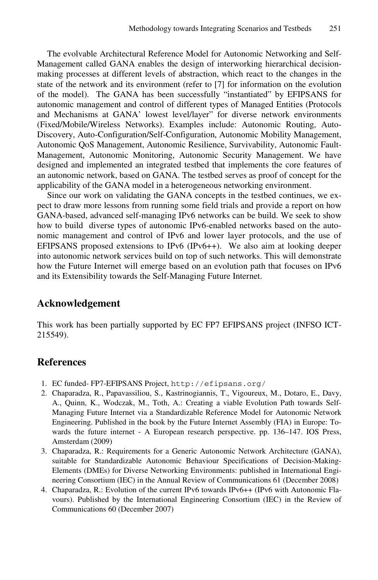The evolvable Architectural Reference Model for Autonomic Networking and Self-Management called GANA enables the design of interworking hierarchical decisionmaking processes at different levels of abstraction, which react to the changes in the state of the network and its environment (refer to [7] for information on the evolution of the model). The GANA has been successfully "instantiated" by EFIPSANS for autonomic management and control of different types of Managed Entities (Protocols and Mechanisms at GANA' lowest level/layer" for diverse network environments (Fixed/Mobile/Wireless Networks). Examples include: Autonomic Routing, Auto-Discovery, Auto-Configuration/Self-Configuration, Autonomic Mobility Management, Autonomic QoS Management, Autonomic Resilience, Survivability, Autonomic Fault-Management, Autonomic Monitoring, Autonomic Security Management. We have designed and implemented an integrated testbed that implements the core features of an autonomic network, based on GANA. The testbed serves as proof of concept for the applicability of the GANA model in a heterogeneous networking environment.

Since our work on validating the GANA concepts in the testbed continues, we expect to draw more lessons from running some field trials and provide a report on how GANA-based, advanced self-managing IPv6 networks can be build. We seek to show how to build diverse types of autonomic IPv6-enabled networks based on the autonomic management and control of IPv6 and lower layer protocols, and the use of EFIPSANS proposed extensions to IPv6  $(IPv6++)$ . We also aim at looking deeper into autonomic network services build on top of such networks. This will demonstrate how the Future Internet will emerge based on an evolution path that focuses on IPv6 and its Extensibility towards the Self-Managing Future Internet.

#### **Acknowledgement**

This work has been partially supported by EC FP7 EFIPSANS project (INFSO ICT-215549).

### **References**

- 1. EC funded- FP7-EFIPSANS Project, http://efipsans.org/
- 2. Chaparadza, R., Papavassiliou, S., Kastrinogiannis, T., Vigoureux, M., Dotaro, E., Davy, A., Quinn, K., Wodczak, M., Toth, A.: Creating a viable Evolution Path towards Self-Managing Future Internet via a Standardizable Reference Model for Autonomic Network Engineering. Published in the book by the Future Internet Assembly (FIA) in Europe: Towards the future internet - A European research perspective. pp. 136–147. IOS Press, Amsterdam (2009)
- 3. Chaparadza, R.: Requirements for a Generic Autonomic Network Architecture (GANA), suitable for Standardizable Autonomic Behaviour Specifications of Decision-Making-Elements (DMEs) for Diverse Networking Environments: published in International Engineering Consortium (IEC) in the Annual Review of Communications 61 (December 2008)
- 4. Chaparadza, R.: Evolution of the current IPv6 towards IPv6++ (IPv6 with Autonomic Flavours). Published by the International Engineering Consortium (IEC) in the Review of Communications 60 (December 2007)